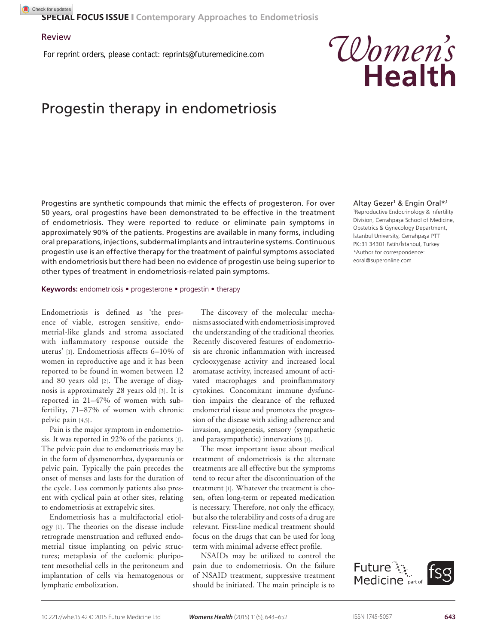# Review

*For reprint orders, please contact: reprints@futuremedicine.com*

# Progestin therapy in endometriosis

Progestins are synthetic compounds that mimic the effects of progesteron. For over 50 years, oral progestins have been demonstrated to be effective in the treatment of endometriosis. They were reported to reduce or eliminate pain symptoms in approximately 90% of the patients. Progestins are available in many forms, including oral preparations, injections, subdermal implants and intrauterine systems. Continuous progestin use is an effective therapy for the treatment of painful symptoms associated with endometriosis but there had been no evidence of progestin use being superior to other types of treatment in endometriosis-related pain symptoms.

# **Keywords:** endometriosis • progesterone • progestin • therapy

Endometriosis is defined as 'the presence of viable, estrogen sensitive, endometrial-like glands and stroma associated with inflammatory response outside the uterus' [1]. Endometriosis affects 6–10% of women in reproductive age and it has been reported to be found in women between 12 and 80 years old [2]. The average of diagnosis is approximately 28 years old [3]. It is reported in 21–47% of women with subfertility, 71–87% of women with chronic pelvic pain [4,5].

Pain is the major symptom in endometriosis. It was reported in 92% of the patients [1]. The pelvic pain due to endometriosis may be in the form of dysmenorrhea, dyspareunia or pelvic pain*.* Typically the pain precedes the onset of menses and lasts for the duration of the cycle. Less commonly patients also present with cyclical pain at other sites, relating to endometriosis at extrapelvic sites.

Endometriosis has a multifactorial etiology [1]. The theories on the disease include retrograde menstruation and refluxed endometrial tissue implanting on pelvic structures; metaplasia of the coelomic pluripotent mesothelial cells in the peritoneum and implantation of cells via hematogenous or lymphatic embolization.

The discovery of the molecular mechanisms associated with endometriosis improved the understanding of the traditional theories. Recently discovered features of endometriosis are chronic inflammation with increased cyclooxygenase activity and increased local aromatase activity, increased amount of activated macrophages and proinflammatory cytokines. Concomitant immune dysfunction impairs the clearance of the refluxed endometrial tissue and promotes the progression of the disease with aiding adherence and invasion, angiogenesis, sensory (sympathetic and parasympathetic) innervations [1].

The most important issue about medical treatment of endometriosis is the alternate treatments are all effective but the symptoms tend to recur after the discontinuation of the treatment [1]. Whatever the treatment is chosen, often long-term or repeated medication is necessary. Therefore, not only the efficacy, but also the tolerability and costs of a drug are relevant. First-line medical treatment should focus on the drugs that can be used for long term with minimal adverse effect profile.

NSAIDs may be utilized to control the pain due to endometriosis. On the failure of NSAID treatment, suppressive treatment should be initiated. The main principle is to

# Altay Gezer1 & Engin Oral\*,1

Women's

1 Reproductive Endocrinology & Infertility Division, Cerrahpaşa School of Medicine, Obstetrics & Gynecology Department, İstanbul University, Cerrahpaşa PTT PK:31 34301 Fatih/İstanbul, Turkey \*Author for correspondence: eoral@superonline.com

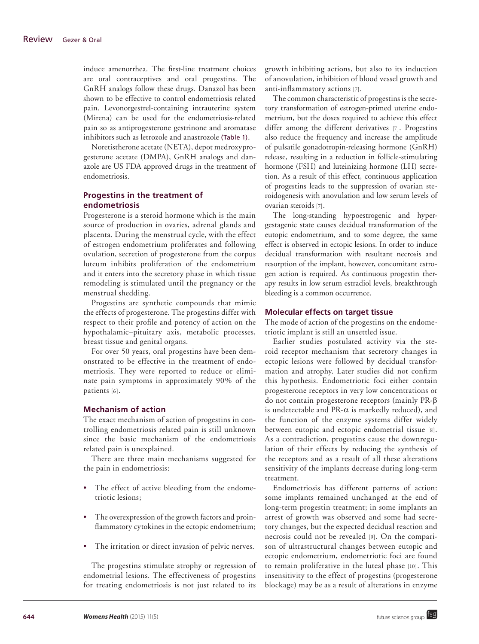induce amenorrhea. The first-line treatment choices are oral contraceptives and oral progestins. The GnRH analogs follow these drugs. Danazol has been shown to be effective to control endometriosis related pain. Levonorgestrel-containing intrauterine system (Mirena) can be used for the endometriosis-related pain so as antiprogesterone gestrinone and aromatase inhibitors such as letrozole and anastrozole (Table 1).

Noretistherone acetate (NETA), depot medroxyprogesterone acetate (DMPA), GnRH analogs and danazole are US FDA approved drugs in the treatment of endometriosis.

# **Progestins in the treatment of endometriosis**

Progesterone is a steroid hormone which is the main source of production in ovaries, adrenal glands and placenta. During the menstrual cycle, with the effect of estrogen endometrium proliferates and following ovulation, secretion of progesterone from the corpus luteum inhibits proliferation of the endometrium and it enters into the secretory phase in which tissue remodeling is stimulated until the pregnancy or the menstrual shedding.

Progestins are synthetic compounds that mimic the effects of progesterone. The progestins differ with respect to their profile and potency of action on the hypothalamic–pituitary axis, metabolic processes, breast tissue and genital organs.

For over 50 years, oral progestins have been demonstrated to be effective in the treatment of endometriosis. They were reported to reduce or eliminate pain symptoms in approximately 90% of the patients [6].

# **Mechanism of action**

The exact mechanism of action of progestins in controlling endometriosis related pain is still unknown since the basic mechanism of the endometriosis related pain is unexplained.

There are three main mechanisms suggested for the pain in endometriosis:

- The effect of active bleeding from the endometriotic lesions;
- The overexpression of the growth factors and proinflammatory cytokines in the ectopic endometrium;
- The irritation or direct invasion of pelvic nerves.

The progestins stimulate atrophy or regression of endometrial lesions. The effectiveness of progestins for treating endometriosis is not just related to its

growth inhibiting actions, but also to its induction of anovulation, inhibition of blood vessel growth and anti-inflammatory actions [7].

The common characteristic of progestins is the secretory transformation of estrogen-primed uterine endometrium, but the doses required to achieve this effect differ among the different derivatives [7]. Progestins also reduce the frequency and increase the amplitude of pulsatile gonadotropin-releasing hormone (GnRH) release, resulting in a reduction in follicle-stimulating hormone (FSH) and luteinizing hormone (LH) secretion. As a result of this effect, continuous application of progestins leads to the suppression of ovarian steroidogenesis with anovulation and low serum levels of ovarian steroids [7].

The long-standing hypoestrogenic and hypergestagenic state causes decidual transformation of the eutopic endometrium, and to some degree, the same effect is observed in ectopic lesions. In order to induce decidual transformation with resultant necrosis and resorption of the implant, however, concomitant estrogen action is required. As continuous progestin therapy results in low serum estradiol levels, breakthrough bleeding is a common occurrence.

#### **Molecular effects on target tissue**

The mode of action of the progestins on the endometriotic implant is still an unsettled issue.

Earlier studies postulated activity via the steroid receptor mechanism that secretory changes in ectopic lesions were followed by decidual transformation and atrophy. Later studies did not confirm this hypothesis. Endometriotic foci either contain progesterone receptors in very low concentrations or do not contain progesterone receptors (mainly PR-β is undetectable and PR- $\alpha$  is markedly reduced), and the function of the enzyme systems differ widely between eutopic and ectopic endometrial tissue [8]. As a contradiction, progestins cause the downregulation of their effects by reducing the synthesis of the receptors and as a result of all these alterations sensitivity of the implants decrease during long-term treatment.

Endometriosis has different patterns of action: some implants remained unchanged at the end of long-term progestin treatment; in some implants an arrest of growth was observed and some had secretory changes, but the expected decidual reaction and necrosis could not be revealed [9]. On the comparison of ultrastructural changes between eutopic and ectopic endometrium, endometriotic foci are found to remain proliferative in the luteal phase [10]. This insensitivity to the effect of progestins (progesterone blockage) may be as a result of alterations in enzyme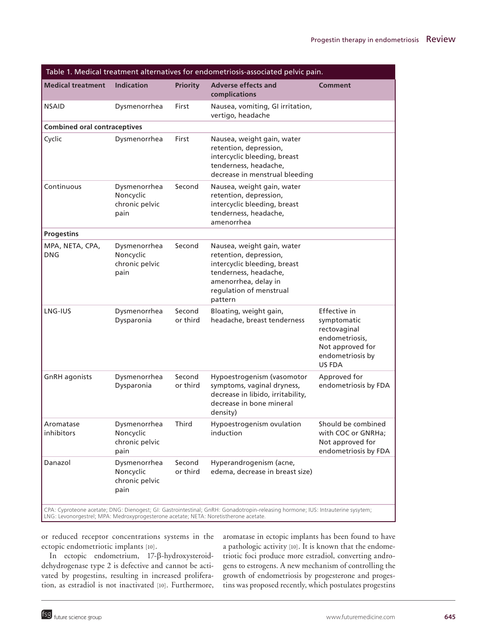| Table 1. Medical treatment alternatives for endometriosis-associated pelvic pain.    |                                                     |                    |                                                                                                                                                                             |                                                                                                                        |  |
|--------------------------------------------------------------------------------------|-----------------------------------------------------|--------------------|-----------------------------------------------------------------------------------------------------------------------------------------------------------------------------|------------------------------------------------------------------------------------------------------------------------|--|
| <b>Medical treatment</b>                                                             | <b>Indication</b>                                   | <b>Priority</b>    | <b>Adverse effects and</b><br>complications                                                                                                                                 | <b>Comment</b>                                                                                                         |  |
| <b>NSAID</b>                                                                         | Dysmenorrhea                                        | First              | Nausea, vomiting, GI irritation,<br>vertigo, headache                                                                                                                       |                                                                                                                        |  |
| <b>Combined oral contraceptives</b>                                                  |                                                     |                    |                                                                                                                                                                             |                                                                                                                        |  |
| Cyclic                                                                               | Dysmenorrhea                                        | First              | Nausea, weight gain, water<br>retention, depression,<br>intercyclic bleeding, breast<br>tenderness, headache,<br>decrease in menstrual bleeding                             |                                                                                                                        |  |
| Continuous                                                                           | Dysmenorrhea<br>Noncyclic<br>chronic pelvic<br>pain | Second             | Nausea, weight gain, water<br>retention, depression,<br>intercyclic bleeding, breast<br>tenderness, headache,<br>amenorrhea                                                 |                                                                                                                        |  |
| <b>Progestins</b>                                                                    |                                                     |                    |                                                                                                                                                                             |                                                                                                                        |  |
| MPA, NETA, CPA,<br><b>DNG</b>                                                        | Dysmenorrhea<br>Noncyclic<br>chronic pelvic<br>pain | Second             | Nausea, weight gain, water<br>retention, depression,<br>intercyclic bleeding, breast<br>tenderness, headache,<br>amenorrhea, delay in<br>regulation of menstrual<br>pattern |                                                                                                                        |  |
| LNG-IUS                                                                              | Dysmenorrhea<br>Dysparonia                          | Second<br>or third | Bloating, weight gain,<br>headache, breast tenderness                                                                                                                       | Effective in<br>symptomatic<br>rectovaginal<br>endometriosis,<br>Not approved for<br>endometriosis by<br><b>US FDA</b> |  |
| <b>GnRH</b> agonists                                                                 | Dysmenorrhea<br>Dysparonia                          | Second<br>or third | Hypoestrogenism (vasomotor<br>symptoms, vaginal dryness,<br>decrease in libido, irritability,<br>decrease in bone mineral<br>density)                                       | Approved for<br>endometriosis by FDA                                                                                   |  |
| Aromatase<br>inhibitors                                                              | Dysmenorrhea<br>Noncyclic<br>chronic pelvic<br>pain | Third              | Hypoestrogenism ovulation<br>induction                                                                                                                                      | Should be combined<br>with COC or GNRHa;<br>Not approved for<br>endometriosis by FDA                                   |  |
| Danazol                                                                              | Dysmenorrhea<br>Noncyclic<br>chronic pelvic<br>pain | Second<br>or third | Hyperandrogenism (acne,<br>edema, decrease in breast size)                                                                                                                  |                                                                                                                        |  |
| LNG: Levonorgestrel; MPA: Medroxyprogesterone acetate; NETA: Noretistherone acetate. |                                                     |                    | CPA: Cyproteone acetate; DNG: Dienogest; GI: Gastrointestinal; GnRH: Gonadotropin-releasing hormone; IUS: Intrauterine sysytem;                                             |                                                                                                                        |  |

or reduced receptor concentrations systems in the ectopic endometriotic implants [10].

In ectopic endometrium, 17-β-hydroxysteroiddehydrogenase type 2 is defective and cannot be activated by progestins, resulting in increased proliferation, as estradiol is not inactivated [10]. Furthermore, aromatase in ectopic implants has been found to have a pathologic activity [10]. It is known that the endometriotic foci produce more estradiol, converting androgens to estrogens. A new mechanism of controlling the growth of endometriosis by progesterone and progestins was proposed recently, which postulates progestins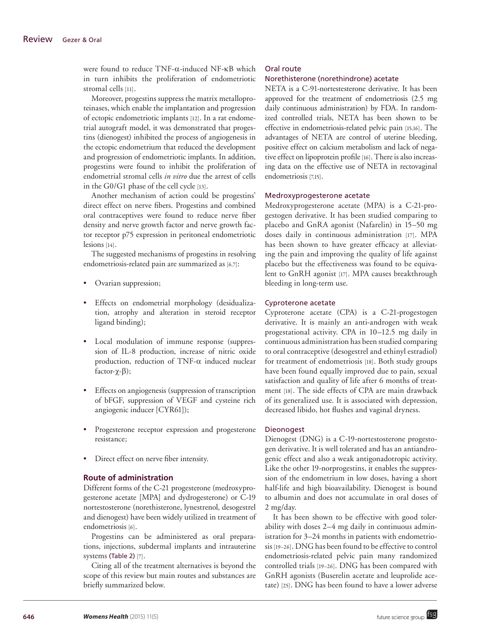were found to reduce TNF-α-induced NF-κB which in turn inhibits the proliferation of endometriotic stromal cells [11].

Moreover, progestins suppress the matrix metalloproteinases, which enable the implantation and progression of ectopic endometriotic implants [12]. In a rat endometrial autograft model, it was demonstrated that progestins (dienogest) inhibited the process of angiogenesis in the ectopic endometrium that reduced the development and progression of endometriotic implants. In addition, progestins were found to inhibit the proliferation of endometrial stromal cells *in vitro* due the arrest of cells in the G0/G1 phase of the cell cycle [13].

Another mechanism of action could be progestins' direct effect on nerve fibers. Progestins and combined oral contraceptives were found to reduce nerve fiber density and nerve growth factor and nerve growth factor receptor p75 expression in peritoneal endometriotic lesions [14].

The suggested mechanisms of progestins in resolving endometriosis-related pain are summarized as [6,7]:

- Ovarian suppression;
- Effects on endometrial morphology (desidualization, atrophy and alteration in steroid receptor ligand binding);
- Local modulation of immune response (suppression of IL-8 production, increase of nitric oxide production, reduction of TNF-α induced nuclear factor-χ-β);
- Effects on angiogenesis (suppression of transcription of bFGF, suppression of VEGF and cysteine rich angiogenic inducer [CYR61]);
- Progesterone receptor expression and progesterone resistance;
- Direct effect on nerve fiber intensity.

# **Route of administration**

Different forms of the C-21 progesterone (medroxyprogesterone acetate [MPA] and dydrogesterone) or C-19 nortestosterone (norethisterone, lynestrenol, desogestrel and dienogest) have been widely utilized in treatment of endometriosis [6].

Progestins can be administered as oral preparations, injections, subdermal implants and intrauterine systems (Table 2) [7].

Citing all of the treatment alternatives is beyond the scope of this review but main routes and substances are briefly summarized below.

#### Oral route

# Norethisterone (norethindrone) acetate

NETA is a C-91-nortestesterone derivative. It has been approved for the treatment of endometriosis (2.5 mg daily continuous administration) by FDA. In randomized controlled trials, NETA has been shown to be effective in endometriosis-related pelvic pain [15,16]. The advantages of NETA are control of uterine bleeding, positive effect on calcium metabolism and lack of negative effect on lipoprotein profile [16]. There is also increasing data on the effective use of NETA in rectovaginal endometriosis [7,15].

# Medroxyprogesterone acetate

Medroxyprogesterone acetate (MPA) is a C-21-progestogen derivative. It has been studied comparing to placebo and GnRA agonist (Nafarelin) in 15–50 mg doses daily in continuous administration [17]. MPA has been shown to have greater efficacy at alleviating the pain and improving the quality of life against placebo but the effectiveness was found to be equivalent to GnRH agonist [17]. MPA causes breakthrough bleeding in long-term use.

#### Cyproterone acetate

Cyproterone acetate (CPA) is a C-21-progestogen derivative. It is mainly an anti-androgen with weak progestational activity. CPA in 10–12.5 mg daily in continuous administration has been studied comparing to oral contraceptive (desogestrel and ethinyl estradiol) for treatment of endometriosis [18]. Both study groups have been found equally improved due to pain, sexual satisfaction and quality of life after 6 months of treatment [18]. The side effects of CPA are main drawback of its generalized use. It is associated with depression, decreased libido, hot flushes and vaginal dryness.

#### Dieonogest

Dienogest (DNG) is a C-19-nortestosterone progestogen derivative. It is well tolerated and has an antiandrogenic effect and also a weak antigonadotropic activity. Like the other 19-norprogestins, it enables the suppression of the endometrium in low doses, having a short half-life and high bioavailability. Dienogest is bound to albumin and does not accumulate in oral doses of 2 mg/day.

It has been shown to be effective with good tolerability with doses 2–4 mg daily in continuous administration for 3–24 months in patients with endometriosis [19–26]. DNG has been found to be effective to control endometriosis-related pelvic pain many randomized controlled trials [19–26]. DNG has been compared with GnRH agonists (Buserelin acetate and leuprolide acetate) [25]. DNG has been found to have a lower adverse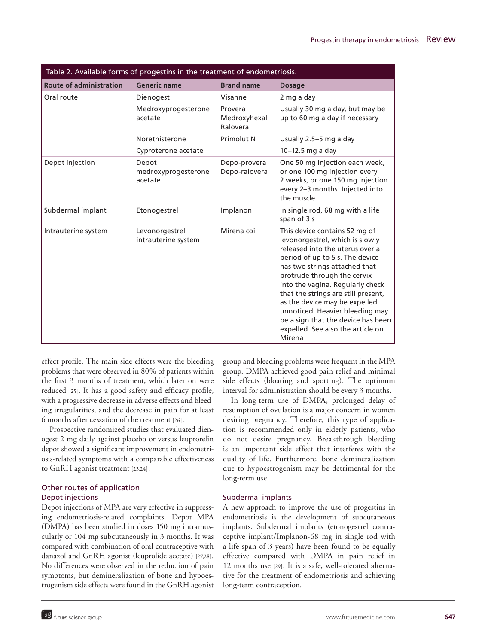| Table 2. Available forms of progestins in the treatment of endometriosis. |                                         |                                     |                                                                                                                                                                                                                                                                                                                                                                                                                                            |  |  |
|---------------------------------------------------------------------------|-----------------------------------------|-------------------------------------|--------------------------------------------------------------------------------------------------------------------------------------------------------------------------------------------------------------------------------------------------------------------------------------------------------------------------------------------------------------------------------------------------------------------------------------------|--|--|
| <b>Route of administration</b>                                            | <b>Generic name</b>                     | <b>Brand name</b>                   | <b>Dosage</b>                                                                                                                                                                                                                                                                                                                                                                                                                              |  |  |
| Oral route                                                                | Dienogest                               | Visanne                             | 2 mg a day                                                                                                                                                                                                                                                                                                                                                                                                                                 |  |  |
|                                                                           | Medroxyprogesterone<br>acetate          | Provera<br>Medroxyhexal<br>Ralovera | Usually 30 mg a day, but may be<br>up to 60 mg a day if necessary                                                                                                                                                                                                                                                                                                                                                                          |  |  |
|                                                                           | Norethisterone                          | Primolut N                          | Usually 2.5-5 mg a day                                                                                                                                                                                                                                                                                                                                                                                                                     |  |  |
|                                                                           | Cyproterone acetate                     |                                     | 10-12.5 mg a day                                                                                                                                                                                                                                                                                                                                                                                                                           |  |  |
| Depot injection                                                           | Depot<br>medroxyprogesterone<br>acetate | Depo-provera<br>Depo-ralovera       | One 50 mg injection each week,<br>or one 100 mg injection every<br>2 weeks, or one 150 mg injection<br>every 2-3 months. Injected into<br>the muscle                                                                                                                                                                                                                                                                                       |  |  |
| Subdermal implant                                                         | Etonogestrel                            | Implanon                            | In single rod, 68 mg with a life<br>span of 3 s                                                                                                                                                                                                                                                                                                                                                                                            |  |  |
| Intrauterine system                                                       | Levonorgestrel<br>intrauterine system   | Mirena coil                         | This device contains 52 mg of<br>levonorgestrel, which is slowly<br>released into the uterus over a<br>period of up to 5 s. The device<br>has two strings attached that<br>protrude through the cervix<br>into the vagina. Regularly check<br>that the strings are still present,<br>as the device may be expelled<br>unnoticed. Heavier bleeding may<br>be a sign that the device has been<br>expelled. See also the article on<br>Mirena |  |  |

effect profile. The main side effects were the bleeding problems that were observed in 80% of patients within the first 3 months of treatment, which later on were reduced [25]. It has a good safety and efficacy profile, with a progressive decrease in adverse effects and bleeding irregularities, and the decrease in pain for at least 6 months after cessation of the treatment [26].

Prospective randomized studies that evaluated dienogest 2 mg daily against placebo or versus leuprorelin depot showed a significant improvement in endometriosis-related symptoms with a comparable effectiveness to GnRH agonist treatment [23,24].

# Other routes of application Depot injections

Depot injections of MPA are very effective in suppressing endometriosis-related complaints. Depot MPA (DMPA) has been studied in doses 150 mg intramuscularly or 104 mg subcutaneously in 3 months. It was compared with combination of oral contraceptive with danazol and GnRH agonist (leuprolide acetate) [27,28]. No differences were observed in the reduction of pain symptoms, but demineralization of bone and hypoestrogenism side effects were found in the GnRH agonist

group and bleeding problems were frequent in the MPA group. DMPA achieved good pain relief and minimal side effects (bloating and spotting). The optimum interval for administration should be every 3 months.

In long-term use of DMPA, prolonged delay of resumption of ovulation is a major concern in women desiring pregnancy. Therefore, this type of application is recommended only in elderly patients, who do not desire pregnancy. Breakthrough bleeding is an important side effect that interferes with the quality of life. Furthermore, bone demineralization due to hypoestrogenism may be detrimental for the long-term use.

# Subdermal implants

A new approach to improve the use of progestins in endometriosis is the development of subcutaneous implants. Subdermal implants (etonogestrel contraceptive implant/Implanon-68 mg in single rod with a life span of 3 years) have been found to be equally effective compared with DMPA in pain relief in 12 months use [29]. It is a safe, well-tolerated alternative for the treatment of endometriosis and achieving long-term contraception.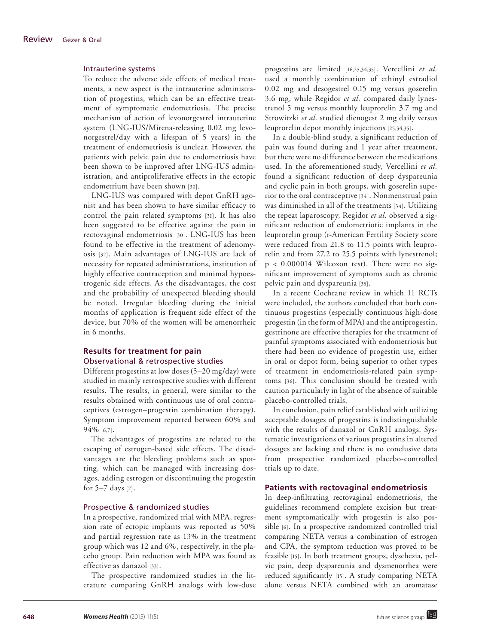#### Intrauterine systems

To reduce the adverse side effects of medical treatments, a new aspect is the intrauterine administration of progestins, which can be an effective treatment of symptomatic endometriosis. The precise mechanism of action of levonorgestrel intrauterine system (LNG-IUS/Mirena-releasing 0.02 mg levonorgestrel/day with a lifespan of 5 years) in the treatment of endometriosis is unclear. However, the patients with pelvic pain due to endometriosis have been shown to be improved after LNG-IUS administration, and antiproliferative effects in the ectopic endometrium have been shown [30].

LNG-IUS was compared with depot GnRH agonist and has been shown to have similar efficacy to control the pain related symptoms [31]. It has also been suggested to be effective against the pain in rectovaginal endometriosis [30]. LNG-IUS has been found to be effective in the treatment of adenomyosis [32]. Main advantages of LNG-IUS are lack of necessity for repeated administrations, institution of highly effective contraception and minimal hypoestrogenic side effects. As the disadvantages, the cost and the probability of unexpected bleeding should be noted. Irregular bleeding during the initial months of application is frequent side effect of the device, but 70% of the women will be amenorrheic in 6 months.

# **Results for treatment for pain** Observational & retrospective studies

Different progestins at low doses (5–20 mg/day) were studied in mainly retrospective studies with different results. The results, in general, were similar to the results obtained with continuous use of oral contraceptives (estrogen–progestin combination therapy). Symptom improvement reported between 60% and 94% [6,7].

The advantages of progestins are related to the escaping of estrogen-based side effects. The disadvantages are the bleeding problems such as spotting, which can be managed with increasing dosages, adding estrogen or discontinuing the progestin for 5–7 days [7].

#### Prospective & randomized studies

In a prospective, randomized trial with MPA, regression rate of ectopic implants was reported as 50% and partial regression rate as 13% in the treatment group which was 12 and 6%, respectively, in the placebo group. Pain reduction with MPA was found as effective as danazol [33].

The prospective randomized studies in the literature comparing GnRH analogs with low-dose progestins are limited [16,25,34,35]. Vercellini *et al.* used a monthly combination of ethinyl estradiol 0.02 mg and desogestrel 0.15 mg versus goserelin 3.6 mg, while Regidor *et al.* compared daily lynestrenol 5 mg versus monthly leuprorelin 3.7 mg and Strowitzki *et al.* studied dienogest 2 mg daily versus leuprorelin depot monthly injections [25,34,35].

In a double-blind study, a significant reduction of pain was found during and 1 year after treatment, but there were no difference between the medications used. In the aforementioned study, Vercellini *et al.* found a significant reduction of deep dyspareunia and cyclic pain in both groups, with goserelin superior to the oral contraceptive [34]. Nonmenstrual pain was diminished in all of the treatments [34]. Utilizing the repeat laparoscopy, Regidor *et al.* observed a significant reduction of endometriotic implants in the leuprorelin group (r-American Fertility Society score were reduced from 21.8 to 11.5 points with leuprorelin and from 27.2 to 25.5 points with lynestrenol; p < 0.000014 Wilcoxon test). There were no significant improvement of symptoms such as chronic pelvic pain and dyspareunia [35].

In a recent Cochrane review in which 11 RCTs were included, the authors concluded that both continuous progestins (especially continuous high-dose progestin (in the form of MPA) and the antiprogestin, gestrinone are effective therapies for the treatment of painful symptoms associated with endometriosis but there had been no evidence of progestin use, either in oral or depot form, being superior to other types of treatment in endometriosis-related pain symptoms [36]. This conclusion should be treated with caution particularly in light of the absence of suitable placebo-controlled trials.

In conclusion, pain relief established with utilizing acceptable dosages of progestins is indistinguishable with the results of danazol or GnRH analogs. Systematic investigations of various progestins in altered dosages are lacking and there is no conclusive data from prospective randomized placebo-controlled trials up to date.

#### **Patients with rectovaginal endometriosis**

In deep-infiltrating rectovaginal endometriosis, the guidelines recommend complete excision but treatment symptomatically with progestin is also possible [6]. In a prospective randomized controlled trial comparing NETA versus a combination of estrogen and CPA, the symptom reduction was proved to be feasible [15]. In both treatment groups, dyschezia, pelvic pain, deep dyspareunia and dysmenorrhea were reduced significantly [15]. A study comparing NETA alone versus NETA combined with an aromatase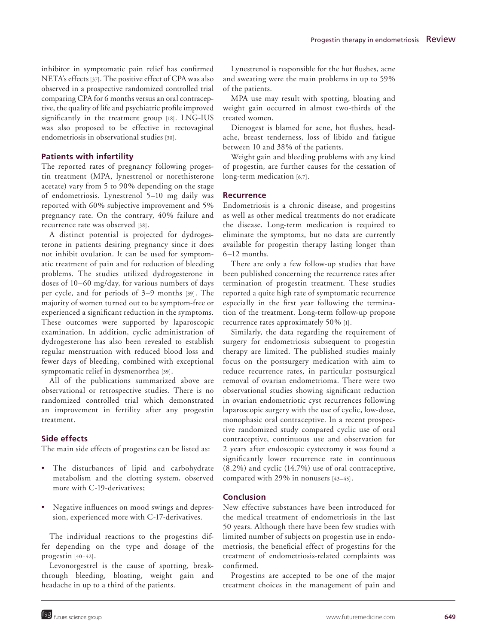inhibitor in symptomatic pain relief has confirmed NETA's effects [37]. The positive effect of CPA was also observed in a prospective randomized controlled trial comparing CPA for 6 months versus an oral contraceptive, the quality of life and psychiatric profile improved significantly in the treatment group [18]. LNG-IUS was also proposed to be effective in rectovaginal endometriosis in observational studies [30].

# **Patients with infertility**

The reported rates of pregnancy following progestin treatment (MPA, lynestrenol or norethisterone acetate) vary from 5 to 90% depending on the stage of endometriosis. Lynestrenol 5–10 mg daily was reported with 60% subjective improvement and 5% pregnancy rate. On the contrary, 40% failure and recurrence rate was observed [38].

A distinct potential is projected for dydrogesterone in patients desiring pregnancy since it does not inhibit ovulation. It can be used for symptomatic treatment of pain and for reduction of bleeding problems. The studies utilized dydrogesterone in doses of 10–60 mg/day, for various numbers of days per cycle, and for periods of 3–9 months [39]. The majority of women turned out to be symptom-free or experienced a significant reduction in the symptoms. These outcomes were supported by laparoscopic examination. In addition, cyclic administration of dydrogesterone has also been revealed to establish regular menstruation with reduced blood loss and fewer days of bleeding, combined with exceptional symptomatic relief in dysmenorrhea [39].

All of the publications summarized above are observational or retrospective studies. There is no randomized controlled trial which demonstrated an improvement in fertility after any progestin treatment.

# **Side effects**

The main side effects of progestins can be listed as:

- The disturbances of lipid and carbohydrate metabolism and the clotting system, observed more with C-19-derivatives;
- • Negative influences on mood swings and depression, experienced more with C-17-derivatives.

The individual reactions to the progestins differ depending on the type and dosage of the progestin [40–42].

Levonorgestrel is the cause of spotting, breakthrough bleeding, bloating, weight gain and headache in up to a third of the patients.

Lynestrenol is responsible for the hot flushes, acne and sweating were the main problems in up to 59% of the patients.

MPA use may result with spotting, bloating and weight gain occurred in almost two-thirds of the treated women.

Dienogest is blamed for acne, hot flushes, headache, breast tenderness, loss of libido and fatigue between 10 and 38% of the patients.

Weight gain and bleeding problems with any kind of progestin, are further causes for the cessation of long-term medication [6,7].

# **Recurrence**

Endometriosis is a chronic disease, and progestins as well as other medical treatments do not eradicate the disease. Long-term medication is required to eliminate the symptoms, but no data are currently available for progestin therapy lasting longer than 6–12 months.

There are only a few follow-up studies that have been published concerning the recurrence rates after termination of progestin treatment. These studies reported a quite high rate of symptomatic recurrence especially in the first year following the termination of the treatment. Long-term follow-up propose recurrence rates approximately 50% [1].

Similarly, the data regarding the requirement of surgery for endometriosis subsequent to progestin therapy are limited. The published studies mainly focus on the postsurgery medication with aim to reduce recurrence rates, in particular postsurgical removal of ovarian endometrioma. There were two observational studies showing significant reduction in ovarian endometriotic cyst recurrences following laparoscopic surgery with the use of cyclic, low-dose, monophasic oral contraceptive. In a recent prospective randomized study compared cyclic use of oral contraceptive, continuous use and observation for 2 years after endoscopic cystectomy it was found a significantly lower recurrence rate in continuous (8.2%) and cyclic (14.7%) use of oral contraceptive, compared with 29% in nonusers [43–45].

# **Conclusion**

New effective substances have been introduced for the medical treatment of endometriosis in the last 50 years. Although there have been few studies with limited number of subjects on progestin use in endometriosis, the beneficial effect of progestins for the treatment of endometriosis-related complaints was confirmed.

Progestins are accepted to be one of the major treatment choices in the management of pain and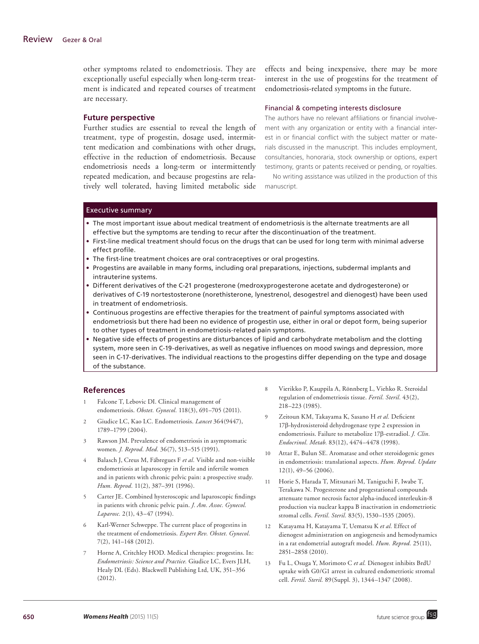other symptoms related to endometriosis. They are exceptionally useful especially when long-term treatment is indicated and repeated courses of treatment are necessary.

#### **Future perspective**

Further studies are essential to reveal the length of treatment, type of progestin, dosage used, intermittent medication and combinations with other drugs, effective in the reduction of endometriosis. Because endometriosis needs a long-term or intermittently repeated medication, and because progestins are relatively well tolerated, having limited metabolic side effects and being inexpensive, there may be more interest in the use of progestins for the treatment of endometriosis-related symptoms in the future.

#### Financial & competing interests disclosure

The authors have no relevant affiliations or financial involvement with any organization or entity with a financial interest in or financial conflict with the subject matter or materials discussed in the manuscript. This includes employment, consultancies, honoraria, stock ownership or options, expert testimony, grants or patents received or pending, or royalties.

No writing assistance was utilized in the production of this manuscript.

# Executive summary

- • The most important issue about medical treatment of endometriosis is the alternate treatments are all effective but the symptoms are tending to recur after the discontinuation of the treatment.
- • First-line medical treatment should focus on the drugs that can be used for long term with minimal adverse effect profile.
- The first-line treatment choices are oral contraceptives or oral progestins.
- • Progestins are available in many forms, including oral preparations, injections, subdermal implants and intrauterine systems.
- • Different derivatives of the C-21 progesterone (medroxyprogesterone acetate and dydrogesterone) or derivatives of C-19 nortestosterone (norethisterone, lynestrenol, desogestrel and dienogest) have been used in treatment of endometriosis.
- • Continuous progestins are effective therapies for the treatment of painful symptoms associated with endometriosis but there had been no evidence of progestin use, either in oral or depot form, being superior to other types of treatment in endometriosis-related pain symptoms.
- • Negative side effects of progestins are disturbances of lipid and carbohydrate metabolism and the clotting system, more seen in C-19-derivatives, as well as negative influences on mood swings and depression, more seen in C-17-derivatives. The individual reactions to the progestins differ depending on the type and dosage of the substance.

#### **References**

- 1 Falcone T, Lebovic DI. Clinical management of endometriosis. *Obstet. Gynecol.* 118(3), 691–705 (2011).
- 2 Giudice LC, Kao LC. Endometriosis. *Lancet* 364(9447), 1789–1799 (2004).
- 3 Rawson JM. Prevalence of endometriosis in asymptomatic women. *J. Reprod. Med.* 36(7), 513–515 (1991).
- 4 Balasch J, Creus M, Fábregues F *et al.* Visible and non-visible endometriosis at laparoscopy in fertile and infertile women and in patients with chronic pelvic pain: a prospective study. *Hum. Reprod.* 11(2), 387–391 (1996).
- 5 Carter JE. Combined hysteroscopic and laparoscopic findings in patients with chronic pelvic pain. *J. Am. Assoc. Gynecol. Laparosc.* 2(1), 43–47 (1994).
- 6 Karl-Werner Schweppe. The current place of progestins in the treatment of endometriosis. *Expert Rev. Obstet. Gynecol.* 7(2), 141–148 (2012).
- Horne A, Critchley HOD. Medical therapies: progestins. In: *Endometriosis: Science and Practice.* Giudice LC, Evers JLH, Healy DL (Eds). Blackwell Publishing Ltd, UK, 351–356 (2012).
- 8 Vierikko P, Kauppila A, Rönnberg L, Viehko R. Steroidal regulation of endometriosis tissue. *Fertil. Steril.* 43(2), 218–223 (1985).
- 9 Zeitoun KM, Takayama K, Sasano H *et al.* Deficient 17β-hydroxisteroid dehydrogenase type 2 expression in endometriosis. Failure to metabolize 17β-estradiol. *J. Clin. Endocrinol. Metab.* 83(12), 4474–4478 (1998).
- 10 Attar E, Bulun SE. Aromatase and other steroidogenic genes in endometriosis: translational aspects. *Hum. Reprod. Update* 12(1), 49–56 (2006).
- 11 Horie S, Harada T, Mitsunari M, Taniguchi F, Iwabe T, Terakawa N. Progesterone and progestational compounds attenuate tumor necrosis factor alpha-induced interleukin-8 production via nuclear kappa B inactivation in endometriotic stromal cells. *Fertil. Steril.* 83(5), 1530–1535 (2005).
- 12 Katayama H, Katayama T, Uematsu K *et al.* Effect of dienogest administration on angiogenesis and hemodynamics in a rat endometrial autograft model. *Hum. Reprod.* 25(11), 2851–2858 (2010).
- 13 Fu L, Osuga Y, Morimoto C *et al.* Dienogest inhibits BrdU uptake with G0/G1 arrest in cultured endometriotic stromal cell. *Fertil. Steril.* 89(Suppl. 3), 1344–1347 (2008).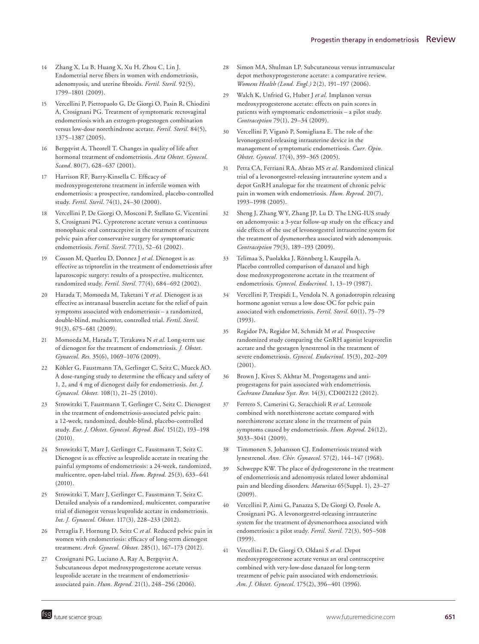- 14 Zhang X, Lu B, Huang X, Xu H, Zhou C, Lin J. Endometrial nerve fibers in women with endometriosis, adenomyosis, and uterine fibroids. *Fertil. Steril.* 92(5), 1799–1801 (2009).
- 15 Vercellini P, Pietropaolo G, De Giorgi O, Pasin R, Chiodini A, Crosignani PG. Treatment of symptomatic rectovaginal endometriosis with an estrogen-progestogen combination versus low-dose norethindrone acetate. *Fertil. Steril.* 84(5), 1375–1387 (2005).
- 16 Bergqvist A, Theorell T. Changes in quality of life after hormonal treatment of endometriosis. *Acta Obstet. Gynecol. Scand.* 80(7), 628–637 (2001).
- 17 Harrison RF, Barry-Kinsella C. Efficacy of medroxyprogesterone treatment in infertile women with endometriosis: a prospective, randomized, placebo-controlled study. *Fertil. Steril.* 74(1), 24–30 (2000).
- 18 Vercellini P, De Giorgi O, Mosconi P, Stellato G, Vicentini S, Crosignani PG. Cyproterone acetate versus a continuous monophasic oral contraceptive in the treatment of recurrent pelvic pain after conservative surgery for symptomatic endometriosis. *Fertil. Steril.* 77(1), 52–61 (2002).
- 19 Cosson M, Querleu D, Donnez J *et al.* Dienogest is as effective as triptorelin in the treatment of endometriosis after laparoscopic surgery: results of a prospective, multicenter, randomized study. *Fertil. Steril.* 77(4), 684–692 (2002).
- 20 Harada T, Momoeda M, Taketani Y *et al.* Dienogest is as effective as intranasal buserelin acetate for the relief of pain symptoms associated with endometriosis – a randomized, double-blind, multicenter, controlled trial. *Fertil. Steril.* 91(3), 675–681 (2009).
- 21 Momoeda M, Harada T, Terakawa N *et al.* Long-term use of dienogest for the treatment of endometriosis. *J. Obstet. Gynaecol. Res.* 35(6), 1069–1076 (2009).
- 22 Köhler G, Faustmann TA, Gerlinger C, Seitz C, Mueck AO. A dose-ranging study to determine the efficacy and safety of 1, 2, and 4 mg of dienogest daily for endometriosis. *Int. J. Gynaecol. Obstet.* 108(1), 21–25 (2010).
- 23 Strowitzki T, Faustmann T, Gerlinger C, Seitz C. Dienogest in the treatment of endometriosis-associated pelvic pain: a 12-week, randomized, double-blind, placebo-controlled study. *Eur. J. Obstet. Gynecol. Reprod. Biol.* 151(2), 193–198  $(2010)$
- 24 Strowitzki T, Marr J, Gerlinger C, Faustmann T, Seitz C. Dienogest is as effective as leuprolide acetate in treating the painful symptoms of endometriosis: a 24-week, randomized, multicentre, open-label trial. *Hum. Reprod.* 25(3), 633–641  $(2010).$
- 25 Strowitzki T, Marr J, Gerlinger C, Faustmann T, Seitz C. Detailed analysis of a randomized, multicenter, comparative trial of dienogest versus leuprolide acetate in endometriosis. *Int. J. Gynaecol. Obstet.* 117(3), 228–233 (2012).
- 26 Petraglia F, Hornung D, Seitz C *et al.* Reduced pelvic pain in women with endometriosis: efficacy of long-term dienogest treatment. *Arch. Gynecol. Obstet.* 285(1), 167–173 (2012).
- 27 Crosignani PG, Luciano A, Ray A, Bergqvist A. Subcutaneous depot medroxyprogesterone acetate versus leuprolide acetate in the treatment of endometriosisassociated pain. *Hum. Reprod.* 21(1), 248–256 (2006).
- 28 Simon MA, Shulman LP. Subcutaneous versus intramuscular depot methoxyprogesterone acetate: a comparative review. *Womens Health (Lond. Engl.)* 2(2), 191–197 (2006).
- 29 Walch K, Unfried G, Huber J *et al.* Implanon versus medroxyprogesterone acetate: effects on pain scores in patients with symptomatic endometriosis – a pilot study. *Contraception* 79(1), 29–34 (2009).
- 30 Vercellini P, Viganò P, Somigliana E. The role of the levonorgestrel-releasing intrauterine device in the management of symptomatic endometriosis. *Curr. Opin. Obstet. Gynecol.* 17(4), 359–365 (2005).
- 31 Petta CA, Ferriani RA, Abrao MS *et al.* Randomized clinical trial of a levonorgestrel-releasing intrauterine system and a depot GnRH analogue for the treatment of chronic pelvic pain in women with endometriosis. *Hum. Reprod.* 20(7), 1993–1998 (2005).
- 32 Sheng J, Zhang WY, Zhang JP, Lu D. The LNG-IUS study on adenomyosis: a 3-year follow-up study on the efficacy and side effects of the use of levonorgestrel intrauterine system for the treatment of dysmenorrhea associated with adenomyosis. *Contraception* 79(3), 189–193 (2009).
- 33 Telimaa S, Puolakka J, Rönnberg I, Kauppila A. Placebo controlled comparison of danazol and high dose medroxyprogesterone acetate in the treatment of endometriosis. *Gynecol. Endocrinol.* 1, 13–19 (1987).
- 34 Vercellini P, Trespidi L, Vendola N. A gonadotropin releasing hormone agonist versus a low dose OC for pelvic pain associated with endometriosis. *Fertil. Steril.* 60(1), 75–79 (1993).
- 35 Regidor PA, Regidor M, Schmidt M *et al.* Prospective randomized study comparing the GnRH agonist leuprorelin acetate and the gestagen lynestrenol in the treatment of severe endometriosis. *Gynecol. Endocrinol.* 15(3), 202–209 (2001).
- 36 Brown J, Kives S, Akhtar M. Progestagens and antiprogestagens for pain associated with endometriosis. *Cochrane Database Syst. Rev.* 14(3), CD002122 (2012).
- 37 Ferrero S, Camerini G, Seracchioli R *et al.* Letrozole combined with norethisterone acetate compared with norethisterone acetate alone in the treatment of pain symptoms caused by endometriosis. *Hum. Reprod.* 24(12), 3033–3041 (2009).
- 38 Timmonen S, Johansson CJ. Endometriosis treated with lynestrenol. *Ann. Chir. Gynaecol.* 57(2), 144–147 (1968).
- 39 Schweppe KW. The place of dydrogesterone in the treatment of endometriosis and adenomyosis related lower abdominal pain and bleeding disorders. *Maturitas* 65(Suppl. 1), 23–27 (2009).
- 40 Vercellini P, Aimi G, Panazza S, De Giorgi O, Pesole A, Crosignani PG. A levonorgestrel-releasing intrauterine system for the treatment of dysmenorrhoea associated with endometriosis: a pilot study. *Fertil. Steril.* 72(3), 505–508 (1999).
- 41 Vercellini P, De Giorgi O, Oldani S *et al.* Depot medroxyprogesterone acetate versus an oral contraceptive combined with very-low-dose danazol for long-term treatment of pelvic pain associated with endometriosis. *Am. J. Obstet. Gynecol.* 175(2), 396–401 (1996).